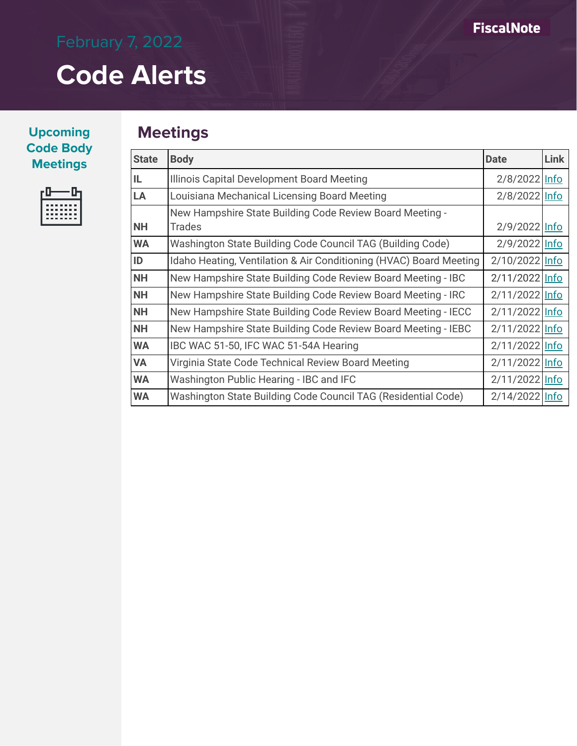### **Upcoming Code Body**   $M$  **Meetings**

|  | .            |  |
|--|--------------|--|
|  | .<br>------- |  |
|  | .            |  |

## **Meetings**

| <b>State</b> | <b>Body</b>                                                        | <b>Date</b>    | <b>Link</b> |
|--------------|--------------------------------------------------------------------|----------------|-------------|
| IL           | Illinois Capital Development Board Meeting                         | 2/8/2022 Info  |             |
| LA           | Louisiana Mechanical Licensing Board Meeting                       | 2/8/2022 Info  |             |
|              | New Hampshire State Building Code Review Board Meeting -           |                |             |
| <b>NH</b>    | <b>Trades</b>                                                      | 2/9/2022 Info  |             |
| <b>WA</b>    | Washington State Building Code Council TAG (Building Code)         | 2/9/2022 Info  |             |
| ID           | Idaho Heating, Ventilation & Air Conditioning (HVAC) Board Meeting | 2/10/2022 Info |             |
| <b>NH</b>    | New Hampshire State Building Code Review Board Meeting - IBC       | 2/11/2022 Info |             |
| <b>NH</b>    | New Hampshire State Building Code Review Board Meeting - IRC       | 2/11/2022 Info |             |
| <b>NH</b>    | New Hampshire State Building Code Review Board Meeting - IECC      | 2/11/2022 Info |             |
| <b>NH</b>    | New Hampshire State Building Code Review Board Meeting - IEBC      | 2/11/2022 Info |             |
| <b>WA</b>    | IBC WAC 51-50, IFC WAC 51-54A Hearing                              | 2/11/2022 Info |             |
| <b>VA</b>    | Virginia State Code Technical Review Board Meeting                 | 2/11/2022 Info |             |
| <b>WA</b>    | Washington Public Hearing - IBC and IFC                            | 2/11/2022 Info |             |
| <b>WA</b>    | Washington State Building Code Council TAG (Residential Code)      | 2/14/2022 Info |             |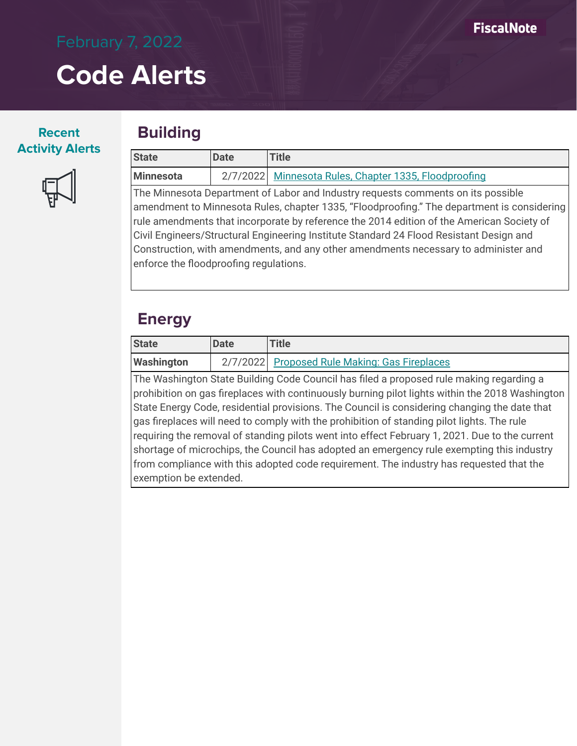### **Recent Activity Alerts**



## **Building**

| <b>State</b>                                                                        | <b>Date</b>                                                                             | <b>Title</b>                                                                               |  |  |  |
|-------------------------------------------------------------------------------------|-----------------------------------------------------------------------------------------|--------------------------------------------------------------------------------------------|--|--|--|
| Minnesota                                                                           |                                                                                         | 2/7/2022 Minnesota Rules, Chapter 1335, Floodproofing                                      |  |  |  |
| The Minnesota Department of Labor and Industry requests comments on its possible    |                                                                                         |                                                                                            |  |  |  |
|                                                                                     |                                                                                         | amendment to Minnesota Rules, chapter 1335, "Floodproofing." The department is considering |  |  |  |
|                                                                                     |                                                                                         | rule amendments that incorporate by reference the 2014 edition of the American Society of  |  |  |  |
|                                                                                     | Civil Engineers/Structural Engineering Institute Standard 24 Flood Resistant Design and |                                                                                            |  |  |  |
| Construction, with amendments, and any other amendments necessary to administer and |                                                                                         |                                                                                            |  |  |  |
| enforce the floodproofing regulations.                                              |                                                                                         |                                                                                            |  |  |  |

## **Energy**

exemption be extended.

| State                                                                                          | <b>Date</b>                                                                                | <b>Title</b>                                                                                    |  |  |  |
|------------------------------------------------------------------------------------------------|--------------------------------------------------------------------------------------------|-------------------------------------------------------------------------------------------------|--|--|--|
| <b>Washington</b>                                                                              |                                                                                            | 2/7/2022 Proposed Rule Making: Gas Fireplaces                                                   |  |  |  |
|                                                                                                |                                                                                            | The Washington State Building Code Council has filed a proposed rule making regarding a         |  |  |  |
|                                                                                                |                                                                                            | prohibition on gas fireplaces with continuously burning pilot lights within the 2018 Washington |  |  |  |
|                                                                                                |                                                                                            | State Energy Code, residential provisions. The Council is considering changing the date that    |  |  |  |
|                                                                                                | gas fireplaces will need to comply with the prohibition of standing pilot lights. The rule |                                                                                                 |  |  |  |
| requiring the removal of standing pilots went into effect February 1, 2021. Due to the current |                                                                                            |                                                                                                 |  |  |  |
| shortage of microchips, the Council has adopted an emergency rule exempting this industry      |                                                                                            |                                                                                                 |  |  |  |

from compliance with this adopted code requirement. The industry has requested that the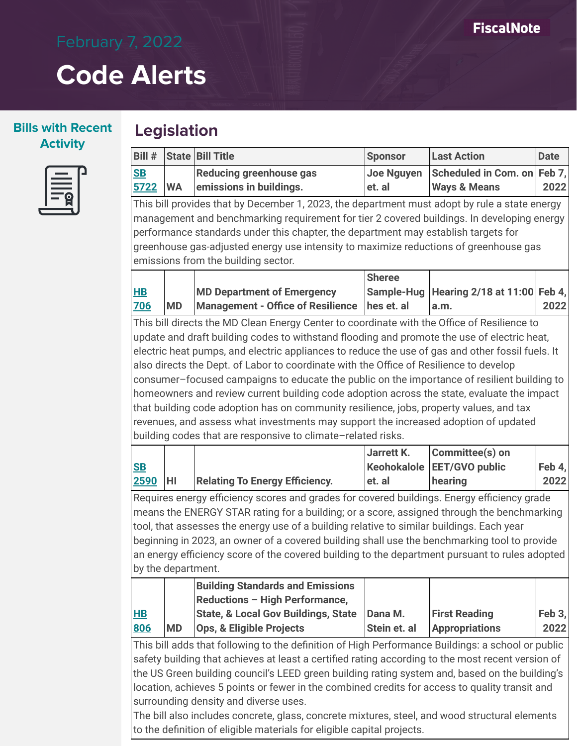### **Bills with Recent Activity**

| ۲ |  |
|---|--|
|   |  |

| Bill #                 |           | <b>State Bill Title</b>                                                                                                                                                                                                                                                                                                                                                                                                                                                                                                               | <b>Sponsor</b>                                    | <b>Last Action</b>                                     | <b>Date</b>    |
|------------------------|-----------|---------------------------------------------------------------------------------------------------------------------------------------------------------------------------------------------------------------------------------------------------------------------------------------------------------------------------------------------------------------------------------------------------------------------------------------------------------------------------------------------------------------------------------------|---------------------------------------------------|--------------------------------------------------------|----------------|
| <b>SB</b><br>5722      | <b>WA</b> | Reducing greenhouse gas<br>emissions in buildings.                                                                                                                                                                                                                                                                                                                                                                                                                                                                                    | <b>Joe Nguyen</b><br>et. al                       | Scheduled in Com. on Feb 7,<br><b>Ways &amp; Means</b> | 2022           |
|                        |           | This bill provides that by December 1, 2023, the department must adopt by rule a state energy                                                                                                                                                                                                                                                                                                                                                                                                                                         |                                                   |                                                        |                |
|                        |           | management and benchmarking requirement for tier 2 covered buildings. In developing energy<br>performance standards under this chapter, the department may establish targets for<br>greenhouse gas-adjusted energy use intensity to maximize reductions of greenhouse gas                                                                                                                                                                                                                                                             |                                                   |                                                        |                |
|                        |           | emissions from the building sector.                                                                                                                                                                                                                                                                                                                                                                                                                                                                                                   |                                                   |                                                        |                |
| H <sub>B</sub><br>706  | <b>MD</b> | <b>MD Department of Emergency</b><br><b>Management - Office of Resilience</b>                                                                                                                                                                                                                                                                                                                                                                                                                                                         | <b>Sheree</b><br>hes et. al                       | Sample-Hug   Hearing 2/18 at 11:00   Feb 4,<br>a.m.    | 2022           |
|                        |           | This bill directs the MD Clean Energy Center to coordinate with the Office of Resilience to                                                                                                                                                                                                                                                                                                                                                                                                                                           |                                                   |                                                        |                |
|                        |           | update and draft building codes to withstand flooding and promote the use of electric heat,                                                                                                                                                                                                                                                                                                                                                                                                                                           |                                                   |                                                        |                |
|                        |           | also directs the Dept. of Labor to coordinate with the Office of Resilience to develop<br>consumer-focused campaigns to educate the public on the importance of resilient building to<br>homeowners and review current building code adoption across the state, evaluate the impact<br>that building code adoption has on community resilience, jobs, property values, and tax<br>revenues, and assess what investments may support the increased adoption of updated<br>building codes that are responsive to climate-related risks. |                                                   |                                                        |                |
| S <sub>B</sub><br>2590 | HI        | <b>Relating To Energy Efficiency.</b>                                                                                                                                                                                                                                                                                                                                                                                                                                                                                                 | <b>Jarrett K.</b><br><b>Keohokalole</b><br>et. al | Committee(s) on<br><b>EET/GVO public</b><br>hearing    | Feb 4,<br>2022 |
| by the department.     |           | Requires energy efficiency scores and grades for covered buildings. Energy efficiency grade<br>means the ENERGY STAR rating for a building; or a score, assigned through the benchmarking<br>tool, that assesses the energy use of a building relative to similar buildings. Each year<br>beginning in 2023, an owner of a covered building shall use the benchmarking tool to provide<br>an energy efficiency score of the covered building to the department pursuant to rules adopted                                              |                                                   |                                                        |                |
| H<br>806               | <b>MD</b> | <b>Building Standards and Emissions</b><br>Reductions - High Performance,<br><b>State, &amp; Local Gov Buildings, State</b><br><b>Ops, &amp; Eligible Projects</b>                                                                                                                                                                                                                                                                                                                                                                    | Dana M.<br>Stein et. al                           | <b>First Reading</b><br><b>Appropriations</b>          | Feb 3,<br>2022 |
|                        |           |                                                                                                                                                                                                                                                                                                                                                                                                                                                                                                                                       |                                                   |                                                        |                |

The bill also includes concrete, glass, concrete mixtures, steel, and wood structural elements to the definition of eligible materials for eligible capital projects.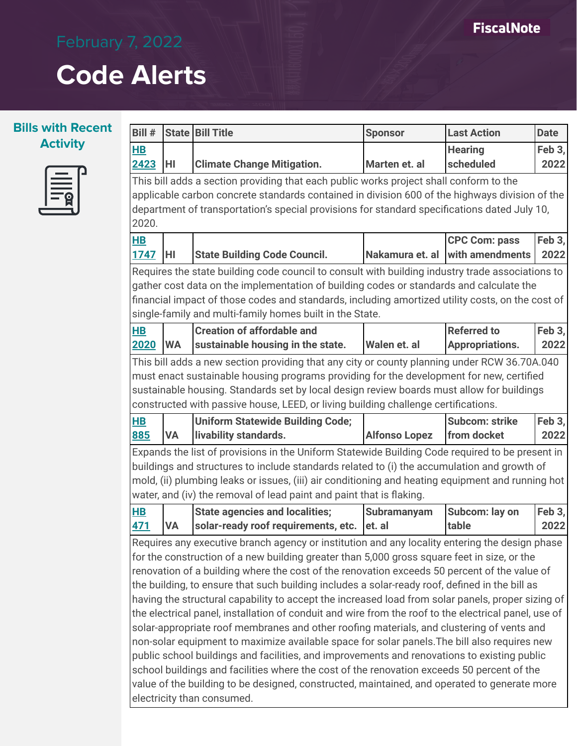

| Bill #                 |                                                                                                                                                                                                                                                                                                                                                             | <b>State   Bill Title</b>                                                                                                                                                                                                                                                                                                                                                                                                                                                                                                                                                                                                                                                                                                                                                                                                                                                                                                                                                                              | <b>Sponsor</b>        | <b>Last Action</b>                      | <b>Date</b>    |  |
|------------------------|-------------------------------------------------------------------------------------------------------------------------------------------------------------------------------------------------------------------------------------------------------------------------------------------------------------------------------------------------------------|--------------------------------------------------------------------------------------------------------------------------------------------------------------------------------------------------------------------------------------------------------------------------------------------------------------------------------------------------------------------------------------------------------------------------------------------------------------------------------------------------------------------------------------------------------------------------------------------------------------------------------------------------------------------------------------------------------------------------------------------------------------------------------------------------------------------------------------------------------------------------------------------------------------------------------------------------------------------------------------------------------|-----------------------|-----------------------------------------|----------------|--|
| $H$ B                  |                                                                                                                                                                                                                                                                                                                                                             |                                                                                                                                                                                                                                                                                                                                                                                                                                                                                                                                                                                                                                                                                                                                                                                                                                                                                                                                                                                                        |                       | <b>Hearing</b>                          | Feb 3,         |  |
| 2423                   | HI                                                                                                                                                                                                                                                                                                                                                          | <b>Climate Change Mitigation.</b>                                                                                                                                                                                                                                                                                                                                                                                                                                                                                                                                                                                                                                                                                                                                                                                                                                                                                                                                                                      | Marten et. al         | scheduled                               | 2022           |  |
| 2020.                  |                                                                                                                                                                                                                                                                                                                                                             | This bill adds a section providing that each public works project shall conform to the<br>applicable carbon concrete standards contained in division 600 of the highways division of the<br>department of transportation's special provisions for standard specifications dated July 10,                                                                                                                                                                                                                                                                                                                                                                                                                                                                                                                                                                                                                                                                                                               |                       |                                         |                |  |
| H <sub>B</sub><br>1747 | HI                                                                                                                                                                                                                                                                                                                                                          | <b>State Building Code Council.</b>                                                                                                                                                                                                                                                                                                                                                                                                                                                                                                                                                                                                                                                                                                                                                                                                                                                                                                                                                                    | Nakamura et. al       | <b>CPC Com: pass</b><br>with amendments | Feb 3,<br>2022 |  |
|                        | Requires the state building code council to consult with building industry trade associations to<br>gather cost data on the implementation of building codes or standards and calculate the<br>financial impact of those codes and standards, including amortized utility costs, on the cost of<br>single-family and multi-family homes built in the State. |                                                                                                                                                                                                                                                                                                                                                                                                                                                                                                                                                                                                                                                                                                                                                                                                                                                                                                                                                                                                        |                       |                                         |                |  |
| H <sub>B</sub>         |                                                                                                                                                                                                                                                                                                                                                             | <b>Creation of affordable and</b>                                                                                                                                                                                                                                                                                                                                                                                                                                                                                                                                                                                                                                                                                                                                                                                                                                                                                                                                                                      |                       | <b>Referred to</b>                      | Feb 3,         |  |
| 2020                   | <b>WA</b>                                                                                                                                                                                                                                                                                                                                                   | sustainable housing in the state.                                                                                                                                                                                                                                                                                                                                                                                                                                                                                                                                                                                                                                                                                                                                                                                                                                                                                                                                                                      | Walen et. al          | Appropriations.                         | 2022           |  |
|                        |                                                                                                                                                                                                                                                                                                                                                             | must enact sustainable housing programs providing for the development for new, certified<br>sustainable housing. Standards set by local design review boards must allow for buildings<br>constructed with passive house, LEED, or living building challenge certifications.                                                                                                                                                                                                                                                                                                                                                                                                                                                                                                                                                                                                                                                                                                                            |                       |                                         |                |  |
| H <sub>B</sub>         |                                                                                                                                                                                                                                                                                                                                                             | <b>Uniform Statewide Building Code;</b>                                                                                                                                                                                                                                                                                                                                                                                                                                                                                                                                                                                                                                                                                                                                                                                                                                                                                                                                                                |                       | <b>Subcom: strike</b>                   | Feb 3,         |  |
| 885                    | <b>VA</b>                                                                                                                                                                                                                                                                                                                                                   | livability standards.                                                                                                                                                                                                                                                                                                                                                                                                                                                                                                                                                                                                                                                                                                                                                                                                                                                                                                                                                                                  | <b>Alfonso Lopez</b>  | from docket                             | 2022           |  |
|                        |                                                                                                                                                                                                                                                                                                                                                             | Expands the list of provisions in the Uniform Statewide Building Code required to be present in<br>buildings and structures to include standards related to (i) the accumulation and growth of<br>mold, (ii) plumbing leaks or issues, (iii) air conditioning and heating equipment and running hot<br>water, and (iv) the removal of lead paint and paint that is flaking.                                                                                                                                                                                                                                                                                                                                                                                                                                                                                                                                                                                                                            |                       |                                         |                |  |
| $H$ B<br><u>471</u>    | <b>VA</b>                                                                                                                                                                                                                                                                                                                                                   | <b>State agencies and localities;</b><br>solar-ready roof requirements, etc.                                                                                                                                                                                                                                                                                                                                                                                                                                                                                                                                                                                                                                                                                                                                                                                                                                                                                                                           | Subramanyam<br>et. al | Subcom: lay on<br>table                 | Feb 3,<br>2022 |  |
|                        |                                                                                                                                                                                                                                                                                                                                                             | Requires any executive branch agency or institution and any locality entering the design phase<br>for the construction of a new building greater than 5,000 gross square feet in size, or the<br>renovation of a building where the cost of the renovation exceeds 50 percent of the value of<br>the building, to ensure that such building includes a solar-ready roof, defined in the bill as<br>having the structural capability to accept the increased load from solar panels, proper sizing of<br>the electrical panel, installation of conduit and wire from the roof to the electrical panel, use of<br>solar-appropriate roof membranes and other roofing materials, and clustering of vents and<br>non-solar equipment to maximize available space for solar panels. The bill also requires new<br>public school buildings and facilities, and improvements and renovations to existing public<br>school buildings and facilities where the cost of the renovation exceeds 50 percent of the |                       |                                         |                |  |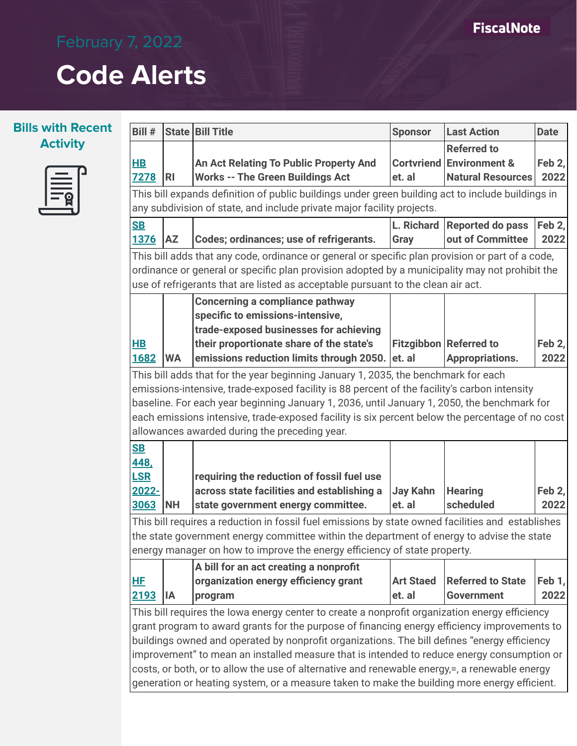### **Bills with Recent Activity**



| Bill #                                           |                                                                                                                                                                                                                                                                                        | State Bill Title                                                                                                                                                                                                                                                                                                                                                                                                                                                                                                                                                                              | <b>Sponsor</b>             | <b>Last Action</b>                                                                    | <b>Date</b>    |
|--------------------------------------------------|----------------------------------------------------------------------------------------------------------------------------------------------------------------------------------------------------------------------------------------------------------------------------------------|-----------------------------------------------------------------------------------------------------------------------------------------------------------------------------------------------------------------------------------------------------------------------------------------------------------------------------------------------------------------------------------------------------------------------------------------------------------------------------------------------------------------------------------------------------------------------------------------------|----------------------------|---------------------------------------------------------------------------------------|----------------|
| <u>HB</u><br><b>7278</b>                         | <b>RI</b>                                                                                                                                                                                                                                                                              | An Act Relating To Public Property And<br><b>Works -- The Green Buildings Act</b>                                                                                                                                                                                                                                                                                                                                                                                                                                                                                                             | et. al                     | <b>Referred to</b><br><b>Cortvriend Environment &amp;</b><br><b>Natural Resources</b> | Feb 2,<br>2022 |
|                                                  |                                                                                                                                                                                                                                                                                        | This bill expands definition of public buildings under green building act to include buildings in<br>any subdivision of state, and include private major facility projects.                                                                                                                                                                                                                                                                                                                                                                                                                   |                            |                                                                                       |                |
| <b>SB</b><br><b>1376</b>                         | <b>AZ</b>                                                                                                                                                                                                                                                                              | Codes; ordinances; use of refrigerants.                                                                                                                                                                                                                                                                                                                                                                                                                                                                                                                                                       | L. Richard<br>Gray         | <b>Reported do pass</b><br>out of Committee                                           | Feb 2,<br>2022 |
|                                                  | This bill adds that any code, ordinance or general or specific plan provision or part of a code,<br>ordinance or general or specific plan provision adopted by a municipality may not prohibit the<br>use of refrigerants that are listed as acceptable pursuant to the clean air act. |                                                                                                                                                                                                                                                                                                                                                                                                                                                                                                                                                                                               |                            |                                                                                       |                |
| $\overline{\mathsf{HB}}$<br>1682                 | <b>WA</b>                                                                                                                                                                                                                                                                              | <b>Concerning a compliance pathway</b><br>specific to emissions-intensive,<br>trade-exposed businesses for achieving<br>their proportionate share of the state's<br>emissions reduction limits through 2050.                                                                                                                                                                                                                                                                                                                                                                                  | et. al                     | <b>Fitzgibbon Referred to</b><br><b>Appropriations.</b>                               | Feb 2,<br>2022 |
|                                                  |                                                                                                                                                                                                                                                                                        | This bill adds that for the year beginning January 1, 2035, the benchmark for each<br>emissions-intensive, trade-exposed facility is 88 percent of the facility's carbon intensity<br>baseline. For each year beginning January 1, 2036, until January 1, 2050, the benchmark for<br>each emissions intensive, trade-exposed facility is six percent below the percentage of no cost<br>allowances awarded during the preceding year.                                                                                                                                                         |                            |                                                                                       |                |
| <b>SB</b><br>448,<br><b>LSR</b><br>2022-<br>3063 | <b>NH</b>                                                                                                                                                                                                                                                                              | requiring the reduction of fossil fuel use<br>across state facilities and establishing a<br>state government energy committee.                                                                                                                                                                                                                                                                                                                                                                                                                                                                | <b>Jay Kahn</b><br>et. al  | <b>Hearing</b><br>scheduled                                                           | Feb 2,<br>2022 |
|                                                  |                                                                                                                                                                                                                                                                                        | This bill requires a reduction in fossil fuel emissions by state owned facilities and establishes<br>the state government energy committee within the department of energy to advise the state<br>energy manager on how to improve the energy efficiency of state property.                                                                                                                                                                                                                                                                                                                   |                            |                                                                                       |                |
| <u>HF</u><br>2193                                | IA                                                                                                                                                                                                                                                                                     | A bill for an act creating a nonprofit<br>organization energy efficiency grant<br>program                                                                                                                                                                                                                                                                                                                                                                                                                                                                                                     | <b>Art Staed</b><br>et. al | <b>Referred to State</b><br><b>Government</b>                                         | Feb 1,<br>2022 |
|                                                  |                                                                                                                                                                                                                                                                                        | This bill requires the lowa energy center to create a nonprofit organization energy efficiency<br>grant program to award grants for the purpose of financing energy efficiency improvements to<br>buildings owned and operated by nonprofit organizations. The bill defines "energy efficiency<br>improvement" to mean an installed measure that is intended to reduce energy consumption or<br>costs, or both, or to allow the use of alternative and renewable energy,=, a renewable energy<br>generation or heating system, or a measure taken to make the building more energy efficient. |                            |                                                                                       |                |

**FiscalNote**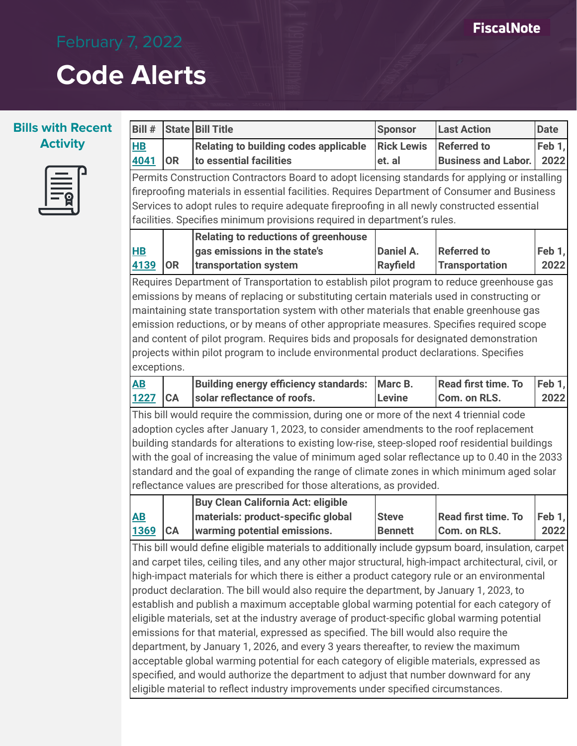### **FiscalNote**

# **Code Alerts**



| Bill #                                                                                                                                                                                                                                                                                                                                                                    |                                                                                                                                                                                                                                                                                                                                                                                                                                                                                                                                                                                  | <b>State Bill Title</b>                                                                                                                                                                                                                                                                                                                                                                                                                                                                                                                                                                                                                                                                                                                                                                                                                                                                                                                                                                                                                                    | <b>Sponsor</b>                 | <b>Last Action</b>                               | <b>Date</b>    |  |
|---------------------------------------------------------------------------------------------------------------------------------------------------------------------------------------------------------------------------------------------------------------------------------------------------------------------------------------------------------------------------|----------------------------------------------------------------------------------------------------------------------------------------------------------------------------------------------------------------------------------------------------------------------------------------------------------------------------------------------------------------------------------------------------------------------------------------------------------------------------------------------------------------------------------------------------------------------------------|------------------------------------------------------------------------------------------------------------------------------------------------------------------------------------------------------------------------------------------------------------------------------------------------------------------------------------------------------------------------------------------------------------------------------------------------------------------------------------------------------------------------------------------------------------------------------------------------------------------------------------------------------------------------------------------------------------------------------------------------------------------------------------------------------------------------------------------------------------------------------------------------------------------------------------------------------------------------------------------------------------------------------------------------------------|--------------------------------|--------------------------------------------------|----------------|--|
| H <sub>B</sub><br>4041                                                                                                                                                                                                                                                                                                                                                    | <b>OR</b>                                                                                                                                                                                                                                                                                                                                                                                                                                                                                                                                                                        | <b>Relating to building codes applicable</b><br>to essential facilities                                                                                                                                                                                                                                                                                                                                                                                                                                                                                                                                                                                                                                                                                                                                                                                                                                                                                                                                                                                    | <b>Rick Lewis</b><br>et. al    | <b>Referred to</b><br><b>Business and Labor.</b> | Feb 1,<br>2022 |  |
| Permits Construction Contractors Board to adopt licensing standards for applying or installing<br>fireproofing materials in essential facilities. Requires Department of Consumer and Business<br>Services to adopt rules to require adequate fireproofing in all newly constructed essential<br>facilities. Specifies minimum provisions required in department's rules. |                                                                                                                                                                                                                                                                                                                                                                                                                                                                                                                                                                                  |                                                                                                                                                                                                                                                                                                                                                                                                                                                                                                                                                                                                                                                                                                                                                                                                                                                                                                                                                                                                                                                            |                                |                                                  |                |  |
| $H$ B<br>4139                                                                                                                                                                                                                                                                                                                                                             | <b>OR</b>                                                                                                                                                                                                                                                                                                                                                                                                                                                                                                                                                                        | <b>Relating to reductions of greenhouse</b><br>gas emissions in the state's<br>transportation system                                                                                                                                                                                                                                                                                                                                                                                                                                                                                                                                                                                                                                                                                                                                                                                                                                                                                                                                                       | Daniel A.<br><b>Rayfield</b>   | <b>Referred to</b><br><b>Transportation</b>      | Feb 1,<br>2022 |  |
|                                                                                                                                                                                                                                                                                                                                                                           | Requires Department of Transportation to establish pilot program to reduce greenhouse gas<br>emissions by means of replacing or substituting certain materials used in constructing or<br>maintaining state transportation system with other materials that enable greenhouse gas<br>emission reductions, or by means of other appropriate measures. Specifies required scope<br>and content of pilot program. Requires bids and proposals for designated demonstration<br>projects within pilot program to include environmental product declarations. Specifies<br>exceptions. |                                                                                                                                                                                                                                                                                                                                                                                                                                                                                                                                                                                                                                                                                                                                                                                                                                                                                                                                                                                                                                                            |                                |                                                  |                |  |
| <u>AB</u><br>1227                                                                                                                                                                                                                                                                                                                                                         | <b>CA</b>                                                                                                                                                                                                                                                                                                                                                                                                                                                                                                                                                                        | <b>Building energy efficiency standards:</b><br>solar reflectance of roofs.                                                                                                                                                                                                                                                                                                                                                                                                                                                                                                                                                                                                                                                                                                                                                                                                                                                                                                                                                                                | Marc B.<br><b>Levine</b>       | <b>Read first time. To</b><br>Com. on RLS.       | Feb 1,<br>2022 |  |
|                                                                                                                                                                                                                                                                                                                                                                           |                                                                                                                                                                                                                                                                                                                                                                                                                                                                                                                                                                                  | This bill would require the commission, during one or more of the next 4 triennial code<br>adoption cycles after January 1, 2023, to consider amendments to the roof replacement<br>building standards for alterations to existing low-rise, steep-sloped roof residential buildings<br>with the goal of increasing the value of minimum aged solar reflectance up to 0.40 in the 2033<br>standard and the goal of expanding the range of climate zones in which minimum aged solar<br>reflectance values are prescribed for those alterations, as provided.                                                                                                                                                                                                                                                                                                                                                                                                                                                                                               |                                |                                                  |                |  |
|                                                                                                                                                                                                                                                                                                                                                                           |                                                                                                                                                                                                                                                                                                                                                                                                                                                                                                                                                                                  | <b>Buy Clean California Act: eligible</b>                                                                                                                                                                                                                                                                                                                                                                                                                                                                                                                                                                                                                                                                                                                                                                                                                                                                                                                                                                                                                  |                                |                                                  |                |  |
| <u>AB</u><br>1369                                                                                                                                                                                                                                                                                                                                                         | CA                                                                                                                                                                                                                                                                                                                                                                                                                                                                                                                                                                               | materials: product-specific global<br>warming potential emissions.                                                                                                                                                                                                                                                                                                                                                                                                                                                                                                                                                                                                                                                                                                                                                                                                                                                                                                                                                                                         | <b>Steve</b><br><b>Bennett</b> | <b>Read first time. To</b><br>Com. on RLS.       | Feb 1,<br>2022 |  |
|                                                                                                                                                                                                                                                                                                                                                                           |                                                                                                                                                                                                                                                                                                                                                                                                                                                                                                                                                                                  | This bill would define eligible materials to additionally include gypsum board, insulation, carpet<br>and carpet tiles, ceiling tiles, and any other major structural, high-impact architectural, civil, or<br>high-impact materials for which there is either a product category rule or an environmental<br>product declaration. The bill would also require the department, by January 1, 2023, to<br>establish and publish a maximum acceptable global warming potential for each category of<br>eligible materials, set at the industry average of product-specific global warming potential<br>emissions for that material, expressed as specified. The bill would also require the<br>department, by January 1, 2026, and every 3 years thereafter, to review the maximum<br>acceptable global warming potential for each category of eligible materials, expressed as<br>specified, and would authorize the department to adjust that number downward for any<br>eligible material to reflect industry improvements under specified circumstances. |                                |                                                  |                |  |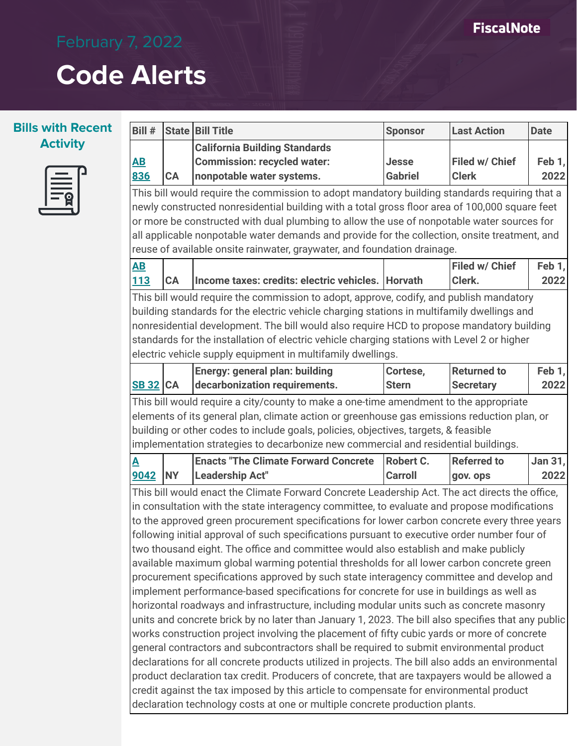### **FiscalNote**

# **Code Alerts**



| Bill #                   |           | <b>State Bill Title</b>                                                                                                                                                                        | <b>Sponsor</b> | <b>Last Action</b> | <b>Date</b> |
|--------------------------|-----------|------------------------------------------------------------------------------------------------------------------------------------------------------------------------------------------------|----------------|--------------------|-------------|
|                          |           | <b>California Building Standards</b>                                                                                                                                                           |                |                    |             |
| <u>AB</u>                |           | <b>Commission: recycled water:</b>                                                                                                                                                             | Jesse          | Filed w/ Chief     | Feb 1,      |
| 836                      | CA        | nonpotable water systems.                                                                                                                                                                      | <b>Gabriel</b> | <b>Clerk</b>       | 2022        |
|                          |           | This bill would require the commission to adopt mandatory building standards requiring that a                                                                                                  |                |                    |             |
|                          |           | newly constructed nonresidential building with a total gross floor area of 100,000 square feet                                                                                                 |                |                    |             |
|                          |           | or more be constructed with dual plumbing to allow the use of nonpotable water sources for                                                                                                     |                |                    |             |
|                          |           | all applicable nonpotable water demands and provide for the collection, onsite treatment, and                                                                                                  |                |                    |             |
|                          |           | reuse of available onsite rainwater, graywater, and foundation drainage.                                                                                                                       |                |                    |             |
| $\overline{\mathbf{AB}}$ |           |                                                                                                                                                                                                |                | Filed w/ Chief     | Feb 1,      |
| <b>113</b>               | CA        | Income taxes: credits: electric vehicles.   Horvath                                                                                                                                            |                | Clerk.             | 2022        |
|                          |           | This bill would require the commission to adopt, approve, codify, and publish mandatory                                                                                                        |                |                    |             |
|                          |           | building standards for the electric vehicle charging stations in multifamily dwellings and                                                                                                     |                |                    |             |
|                          |           | nonresidential development. The bill would also require HCD to propose mandatory building                                                                                                      |                |                    |             |
|                          |           | standards for the installation of electric vehicle charging stations with Level 2 or higher                                                                                                    |                |                    |             |
|                          |           | electric vehicle supply equipment in multifamily dwellings.                                                                                                                                    |                |                    |             |
|                          |           | Energy: general plan: building                                                                                                                                                                 | Cortese,       | <b>Returned to</b> | Feb 1,      |
| <b>SB 32 CA</b>          |           | decarbonization requirements.                                                                                                                                                                  | <b>Stern</b>   | <b>Secretary</b>   | 2022        |
|                          |           | This bill would require a city/county to make a one-time amendment to the appropriate                                                                                                          |                |                    |             |
|                          |           | elements of its general plan, climate action or greenhouse gas emissions reduction plan, or                                                                                                    |                |                    |             |
|                          |           | building or other codes to include goals, policies, objectives, targets, & feasible                                                                                                            |                |                    |             |
|                          |           | implementation strategies to decarbonize new commercial and residential buildings.                                                                                                             |                |                    |             |
| <u>A</u>                 |           | <b>Enacts "The Climate Forward Concrete</b>                                                                                                                                                    | Robert C.      | <b>Referred to</b> | Jan 31,     |
| 9042                     | <b>NY</b> | <b>Leadership Act"</b>                                                                                                                                                                         | <b>Carroll</b> | gov. ops           | 2022        |
|                          |           | This bill would enact the Climate Forward Concrete Leadership Act. The act directs the office,                                                                                                 |                |                    |             |
|                          |           | in consultation with the state interagency committee, to evaluate and propose modifications                                                                                                    |                |                    |             |
|                          |           | to the approved green procurement specifications for lower carbon concrete every three years                                                                                                   |                |                    |             |
|                          |           | following initial approval of such specifications pursuant to executive order number four of                                                                                                   |                |                    |             |
|                          |           | two thousand eight. The office and committee would also establish and make publicly                                                                                                            |                |                    |             |
|                          |           | available maximum global warming potential thresholds for all lower carbon concrete green                                                                                                      |                |                    |             |
|                          |           | procurement specifications approved by such state interagency committee and develop and                                                                                                        |                |                    |             |
|                          |           | implement performance-based specifications for concrete for use in buildings as well as                                                                                                        |                |                    |             |
|                          |           | horizontal roadways and infrastructure, including modular units such as concrete masonry<br>units and concrete brick by no later than January 1, 2023. The bill also specifies that any public |                |                    |             |
|                          |           | works construction project involving the placement of fifty cubic yards or more of concrete                                                                                                    |                |                    |             |
|                          |           | general contractors and subcontractors shall be required to submit environmental product                                                                                                       |                |                    |             |
|                          |           | declarations for all concrete products utilized in projects. The bill also adds an environmental                                                                                               |                |                    |             |
|                          |           | product declaration tax credit. Producers of concrete, that are taxpayers would be allowed a                                                                                                   |                |                    |             |
|                          |           | credit against the tax imposed by this article to compensate for environmental product                                                                                                         |                |                    |             |
|                          |           |                                                                                                                                                                                                |                |                    |             |
|                          |           | declaration technology costs at one or multiple concrete production plants.                                                                                                                    |                |                    |             |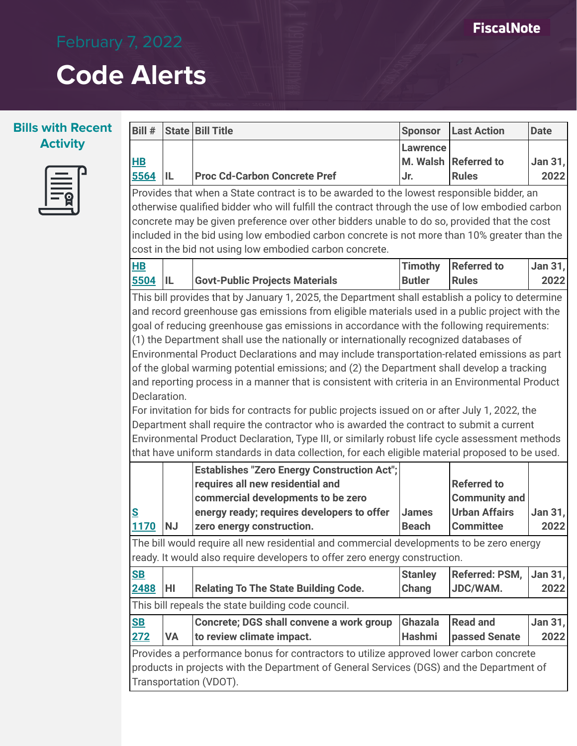| <b>Service Service</b> |  |
|------------------------|--|
|                        |  |
|                        |  |

| Bill#            |           | <b>State   Bill Title</b>                                                                        | <b>Sponsor</b>               | <b>Last Action</b>                           | <b>Date</b>     |
|------------------|-----------|--------------------------------------------------------------------------------------------------|------------------------------|----------------------------------------------|-----------------|
|                  |           |                                                                                                  | <b>Lawrence</b>              |                                              |                 |
| $H$ B            |           |                                                                                                  | M. Walsh                     | <b>Referred to</b>                           | Jan 31,         |
| 5564             | IL        | <b>Proc Cd-Carbon Concrete Pref</b>                                                              | Jr.                          | <b>Rules</b>                                 | 2022            |
|                  |           | Provides that when a State contract is to be awarded to the lowest responsible bidder, an        |                              |                                              |                 |
|                  |           | otherwise qualified bidder who will fulfill the contract through the use of low embodied carbon  |                              |                                              |                 |
|                  |           | concrete may be given preference over other bidders unable to do so, provided that the cost      |                              |                                              |                 |
|                  |           | included in the bid using low embodied carbon concrete is not more than 10% greater than the     |                              |                                              |                 |
|                  |           | cost in the bid not using low embodied carbon concrete.                                          |                              |                                              |                 |
| <b>HB</b>        |           |                                                                                                  | <b>Timothy</b>               | <b>Referred to</b>                           | Jan 31,         |
| 5504             | IL        | <b>Govt-Public Projects Materials</b>                                                            | <b>Butler</b>                | <b>Rules</b>                                 | 2022            |
|                  |           | This bill provides that by January 1, 2025, the Department shall establish a policy to determine |                              |                                              |                 |
|                  |           | and record greenhouse gas emissions from eligible materials used in a public project with the    |                              |                                              |                 |
|                  |           | goal of reducing greenhouse gas emissions in accordance with the following requirements:         |                              |                                              |                 |
|                  |           | (1) the Department shall use the nationally or internationally recognized databases of           |                              |                                              |                 |
|                  |           | Environmental Product Declarations and may include transportation-related emissions as part      |                              |                                              |                 |
|                  |           | of the global warming potential emissions; and (2) the Department shall develop a tracking       |                              |                                              |                 |
|                  |           | and reporting process in a manner that is consistent with criteria in an Environmental Product   |                              |                                              |                 |
| Declaration.     |           |                                                                                                  |                              |                                              |                 |
|                  |           | For invitation for bids for contracts for public projects issued on or after July 1, 2022, the   |                              |                                              |                 |
|                  |           | Department shall require the contractor who is awarded the contract to submit a current          |                              |                                              |                 |
|                  |           | Environmental Product Declaration, Type III, or similarly robust life cycle assessment methods   |                              |                                              |                 |
|                  |           | that have uniform standards in data collection, for each eligible material proposed to be used.  |                              |                                              |                 |
|                  |           | <b>Establishes "Zero Energy Construction Act";</b>                                               |                              |                                              |                 |
|                  |           | requires all new residential and                                                                 |                              | <b>Referred to</b>                           |                 |
|                  |           | commercial developments to be zero                                                               |                              | <b>Community and</b><br><b>Urban Affairs</b> |                 |
| <u>s</u><br>1170 | <b>NJ</b> | energy ready; requires developers to offer<br>zero energy construction.                          | <b>James</b><br><b>Beach</b> | <b>Committee</b>                             | Jan 31,<br>2022 |
|                  |           |                                                                                                  |                              |                                              |                 |
|                  |           | The bill would require all new residential and commercial developments to be zero energy         |                              |                                              |                 |
|                  |           | ready. It would also require developers to offer zero energy construction.                       |                              |                                              |                 |
| S <sub>B</sub>   |           |                                                                                                  | <b>Stanley</b>               | Referred: PSM,                               | Jan $31,$       |
| 2488             | HI        | <b>Relating To The State Building Code.</b>                                                      | Chang                        | JDC/WAM.                                     | 2022            |
|                  |           | This bill repeals the state building code council.                                               |                              |                                              |                 |
| S <sub>B</sub>   |           | Concrete; DGS shall convene a work group                                                         | <b>Ghazala</b>               | <b>Read and</b>                              | Jan $31,$       |
| 272              | <b>VA</b> | to review climate impact.                                                                        | <b>Hashmi</b>                | passed Senate                                | 2022            |
|                  |           | Provides a performance bonus for contractors to utilize approved lower carbon concrete           |                              |                                              |                 |
|                  |           | products in projects with the Department of General Services (DGS) and the Department of         |                              |                                              |                 |
|                  |           | Transportation (VDOT).                                                                           |                              |                                              |                 |
|                  |           |                                                                                                  |                              |                                              |                 |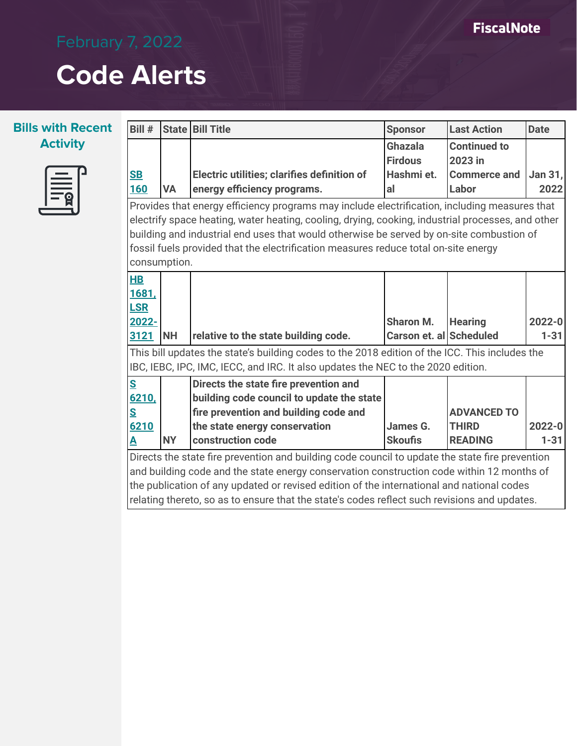

| Bill #                                                                                            |                                                                                              | State   Bill Title                          | <b>Sponsor</b>          | <b>Last Action</b>  | <b>Date</b> |  |  |
|---------------------------------------------------------------------------------------------------|----------------------------------------------------------------------------------------------|---------------------------------------------|-------------------------|---------------------|-------------|--|--|
|                                                                                                   |                                                                                              |                                             | Ghazala                 | <b>Continued to</b> |             |  |  |
|                                                                                                   |                                                                                              |                                             | <b>Firdous</b>          | 2023 in             |             |  |  |
| S <sub>B</sub>                                                                                    |                                                                                              | Electric utilities; clarifies definition of | Hashmi et.              | <b>Commerce and</b> | Jan 31,     |  |  |
| <b>160</b>                                                                                        | <b>VA</b>                                                                                    | energy efficiency programs.                 | al                      | Labor               | 2022        |  |  |
| Provides that energy efficiency programs may include electrification, including measures that     |                                                                                              |                                             |                         |                     |             |  |  |
| electrify space heating, water heating, cooling, drying, cooking, industrial processes, and other |                                                                                              |                                             |                         |                     |             |  |  |
| building and industrial end uses that would otherwise be served by on-site combustion of          |                                                                                              |                                             |                         |                     |             |  |  |
| fossil fuels provided that the electrification measures reduce total on-site energy               |                                                                                              |                                             |                         |                     |             |  |  |
| consumption.                                                                                      |                                                                                              |                                             |                         |                     |             |  |  |
| H B                                                                                               |                                                                                              |                                             |                         |                     |             |  |  |
| 1681,                                                                                             |                                                                                              |                                             |                         |                     |             |  |  |
| <b>LSR</b>                                                                                        |                                                                                              |                                             |                         |                     |             |  |  |
| 2022-                                                                                             |                                                                                              |                                             | <b>Sharon M.</b>        | <b>Hearing</b>      | $2022 - 0$  |  |  |
| 3121                                                                                              | <b>NH</b>                                                                                    | relative to the state building code.        | Carson et. al Scheduled |                     | $1 - 31$    |  |  |
| This bill updates the state's building codes to the 2018 edition of the ICC. This includes the    |                                                                                              |                                             |                         |                     |             |  |  |
| IBC, IEBC, IPC, IMC, IECC, and IRC. It also updates the NEC to the 2020 edition.                  |                                                                                              |                                             |                         |                     |             |  |  |
| $S_{\parallel}$                                                                                   |                                                                                              | Directs the state fire prevention and       |                         |                     |             |  |  |
| 6210,                                                                                             |                                                                                              | building code council to update the state   |                         |                     |             |  |  |
| S                                                                                                 |                                                                                              | fire prevention and building code and       |                         | <b>ADVANCED TO</b>  |             |  |  |
| 6210                                                                                              |                                                                                              | the state energy conservation               | James G.                | <b>THIRD</b>        | $2022 - 0$  |  |  |
| $\blacktriangle$                                                                                  | <b>NY</b>                                                                                    | construction code                           | <b>Skoufis</b>          | <b>READING</b>      | $1 - 31$    |  |  |
| Directs the state fire prevention and building code council to update the state fire prevention   |                                                                                              |                                             |                         |                     |             |  |  |
| and building code and the state energy conservation construction code within 12 months of         |                                                                                              |                                             |                         |                     |             |  |  |
| the publication of any updated or revised edition of the international and national codes         |                                                                                              |                                             |                         |                     |             |  |  |
|                                                                                                   | relating thereto, so as to ensure that the state's codes reflect such revisions and updates. |                                             |                         |                     |             |  |  |
|                                                                                                   |                                                                                              |                                             |                         |                     |             |  |  |